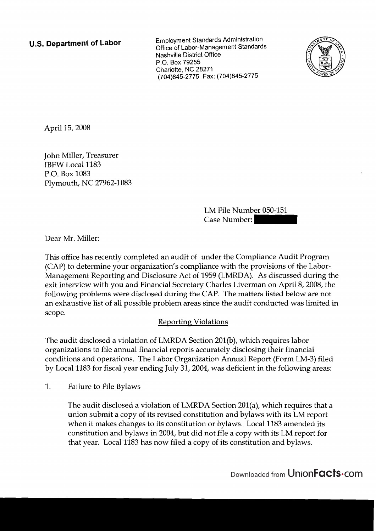**U.S. Department of Labor** Employment Standards Administration<br>Office of Labor-Management Standards Nashville District Office P.O. Box 79255 Charlotte, NC 28271 (704)845-2775 Fax: (704)845-2775



April 15,2008

John Miller, Treasurer IBEW Local 1183 P.O. Box 1083 Plymouth, NC 27962-1083 LM File Number 050-151 Case Number: -

Dear Mr. Miller:

This office has recently completed an audit of under the Compliance Audit Program (CAP) to determine your organization's compliance with the provisions of the Labor-Management Reporting and Disclosure Act of 1959 (LMRDA). As discussed during the exit interview with you and Financial Secretary Charles Liverman on April 8,2008, the following problems were disclosed during the CAP. The matters listed below are not an exhaustive list of all possible problem areas since the audit conducted was limited in scope.

## Reporting Violations

The audit disclosed a violation of LMRDA Section 201(b), which requires labor organizations to file annual financial reports accurately disclosing their financial conditions and operations. The Labor Organization Annual Report (Form LM-3) filed by Local 1183 for fiscal year ending July 31,2004, was deficient in the following areas:

1. Failure to File Bylaws

The audit disclosed a violation of LMRDA Section 201(a), which requires that a union submit a copy of its revised constitution and bylaws with its LM report when it makes changes to its constitution or bylaws. Local 1183 amended its constitution and bylaws in 2004, but did not file a copy with its LM report for that year. Local 1183 has now filed a copy of its constitution and bylaws.